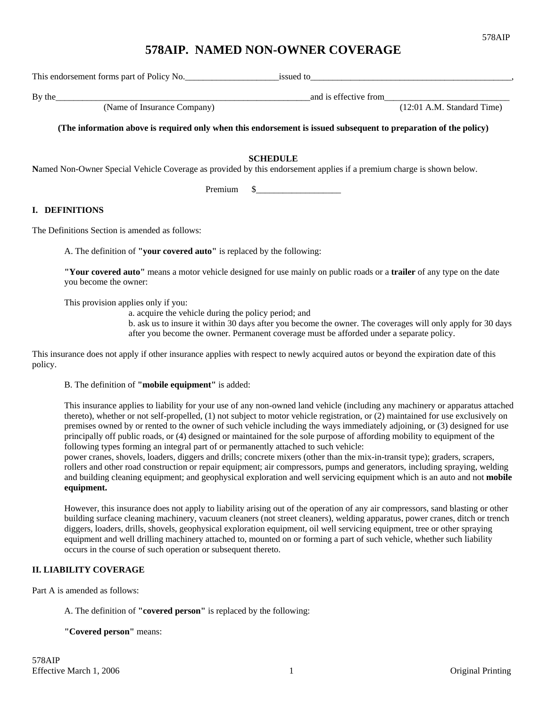# **578AIP. NAMED NON-OWNER COVERAGE**

This endorsement forms part of Policy No.\_\_\_\_\_\_\_\_\_\_\_\_\_\_\_\_\_\_\_\_\_issued to\_\_\_\_\_\_\_\_\_\_\_\_\_\_\_\_\_\_\_\_\_\_\_\_\_\_\_\_\_\_\_\_\_\_\_\_\_\_\_\_\_\_\_\_\_,

and is effective from<br>(Name of Insurance Company) and is effective from<br>(12:01 A.M. Standard Time)

By the\_\_\_\_\_\_\_\_\_\_\_\_\_\_\_\_\_\_\_\_\_\_\_\_\_\_\_\_\_\_\_\_\_\_\_\_\_\_\_\_\_\_\_\_\_\_\_\_\_\_\_\_\_\_\_\_\_and is effective from\_\_\_\_\_\_\_\_\_\_\_\_\_\_\_\_\_\_\_\_\_\_\_\_\_\_\_\_

**(The information above is required only when this endorsement is issued subsequent to preparation of the policy)** 

**SCHEDULE**

**N**amed Non-Owner Special Vehicle Coverage as provided by this endorsement applies if a premium charge is shown below.

Premium \$

### **I. DEFINITIONS**

The Definitions Section is amended as follows:

A. The definition of **"your covered auto"** is replaced by the following:

**"Your covered auto"** means a motor vehicle designed for use mainly on public roads or a **trailer** of any type on the date you become the owner:

This provision applies only if you:

a. acquire the vehicle during the policy period; and

b. ask us to insure it within 30 days after you become the owner. The coverages will only apply for 30 days after you become the owner. Permanent coverage must be afforded under a separate policy.

This insurance does not apply if other insurance applies with respect to newly acquired autos or beyond the expiration date of this policy.

### B. The definition of **"mobile equipment"** is added:

This insurance applies to liability for your use of any non-owned land vehicle (including any machinery or apparatus attached thereto), whether or not self-propelled, (1) not subject to motor vehicle registration, or (2) maintained for use exclusively on premises owned by or rented to the owner of such vehicle including the ways immediately adjoining, or (3) designed for use principally off public roads, or (4) designed or maintained for the sole purpose of affording mobility to equipment of the following types forming an integral part of or permanently attached to such vehicle:

power cranes, shovels, loaders, diggers and drills; concrete mixers (other than the mix-in-transit type); graders, scrapers, rollers and other road construction or repair equipment; air compressors, pumps and generators, including spraying, welding and building cleaning equipment; and geophysical exploration and well servicing equipment which is an auto and not **mobile equipment.**

However, this insurance does not apply to liability arising out of the operation of any air compressors, sand blasting or other building surface cleaning machinery, vacuum cleaners (not street cleaners), welding apparatus, power cranes, ditch or trench diggers, loaders, drills, shovels, geophysical exploration equipment, oil well servicing equipment, tree or other spraying equipment and well drilling machinery attached to, mounted on or forming a part of such vehicle, whether such liability occurs in the course of such operation or subsequent thereto.

## **II. LIABILITY COVERAGE**

Part A is amended as follows:

### A. The definition of **"covered person"** is replaced by the following:

### **"Covered person"** means: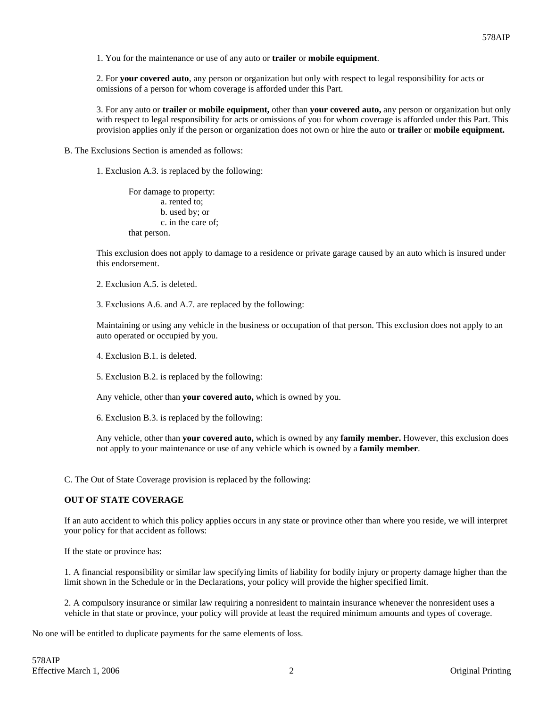1. You for the maintenance or use of any auto or **trailer** or **mobile equipment**.

2. For **your covered auto**, any person or organization but only with respect to legal responsibility for acts or omissions of a person for whom coverage is afforded under this Part.

3. For any auto or **trailer** or **mobile equipment,** other than **your covered auto,** any person or organization but only with respect to legal responsibility for acts or omissions of you for whom coverage is afforded under this Part. This provision applies only if the person or organization does not own or hire the auto or **trailer** or **mobile equipment.**

B. The Exclusions Section is amended as follows:

1. Exclusion A.3. is replaced by the following:

For damage to property: a. rented to; b. used by; or c. in the care of; that person.

This exclusion does not apply to damage to a residence or private garage caused by an auto which is insured under this endorsement.

2. Exclusion A.5. is deleted.

3. Exclusions A.6. and A.7. are replaced by the following:

Maintaining or using any vehicle in the business or occupation of that person. This exclusion does not apply to an auto operated or occupied by you.

4. Exclusion B.1. is deleted.

5. Exclusion B.2. is replaced by the following:

Any vehicle, other than **your covered auto,** which is owned by you.

6. Exclusion B.3. is replaced by the following:

Any vehicle, other than **your covered auto,** which is owned by any **family member.** However, this exclusion does not apply to your maintenance or use of any vehicle which is owned by a **family member**.

C. The Out of State Coverage provision is replaced by the following:

### **OUT OF STATE COVERAGE**

If an auto accident to which this policy applies occurs in any state or province other than where you reside, we will interpret your policy for that accident as follows:

If the state or province has:

1. A financial responsibility or similar law specifying limits of liability for bodily injury or property damage higher than the limit shown in the Schedule or in the Declarations, your policy will provide the higher specified limit.

2. A compulsory insurance or similar law requiring a nonresident to maintain insurance whenever the nonresident uses a vehicle in that state or province, your policy will provide at least the required minimum amounts and types of coverage.

No one will be entitled to duplicate payments for the same elements of loss.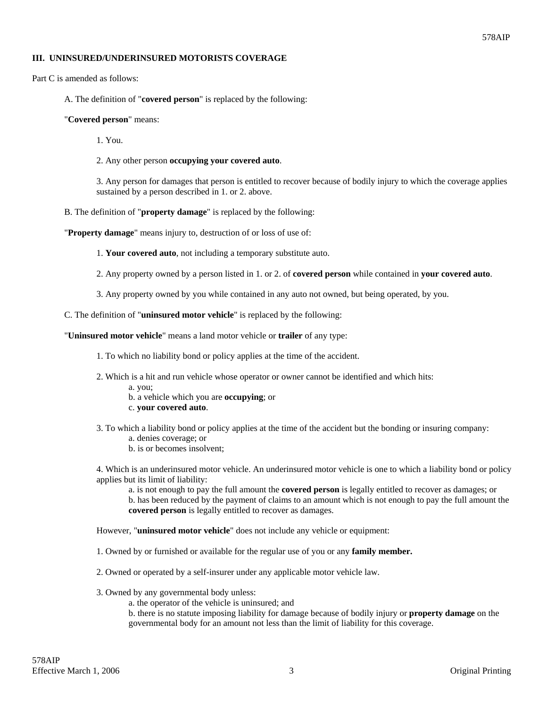### **III. UNINSURED/UNDERINSURED MOTORISTS COVERAGE**

Part C is amended as follows:

A. The definition of "**covered person**" is replaced by the following:

#### "**Covered person**" means:

1. You.

2. Any other person **occupying your covered auto**.

3. Any person for damages that person is entitled to recover because of bodily injury to which the coverage applies sustained by a person described in 1. or 2. above.

B. The definition of "**property damage**" is replaced by the following:

"**Property damage**" means injury to, destruction of or loss of use of:

1. **Your covered auto**, not including a temporary substitute auto.

2. Any property owned by a person listed in 1. or 2. of **covered person** while contained in **your covered auto**.

3. Any property owned by you while contained in any auto not owned, but being operated, by you.

C. The definition of "**uninsured motor vehicle**" is replaced by the following:

"**Uninsured motor vehicle**" means a land motor vehicle or **trailer** of any type:

1. To which no liability bond or policy applies at the time of the accident.

- 2. Which is a hit and run vehicle whose operator or owner cannot be identified and which hits:
	- a. you;
	- b. a vehicle which you are **occupying**; or
	- c. **your covered auto**.
- 3. To which a liability bond or policy applies at the time of the accident but the bonding or insuring company: a. denies coverage; or
	- b. is or becomes insolvent;

4. Which is an underinsured motor vehicle. An underinsured motor vehicle is one to which a liability bond or policy applies but its limit of liability:

a. is not enough to pay the full amount the **covered person** is legally entitled to recover as damages; or

b. has been reduced by the payment of claims to an amount which is not enough to pay the full amount the **covered person** is legally entitled to recover as damages.

However, "**uninsured motor vehicle**" does not include any vehicle or equipment:

- 1. Owned by or furnished or available for the regular use of you or any **family member.**
- 2. Owned or operated by a self-insurer under any applicable motor vehicle law.
- 3. Owned by any governmental body unless:
	- a. the operator of the vehicle is uninsured; and
	- b. there is no statute imposing liability for damage because of bodily injury or **property damage** on the governmental body for an amount not less than the limit of liability for this coverage.